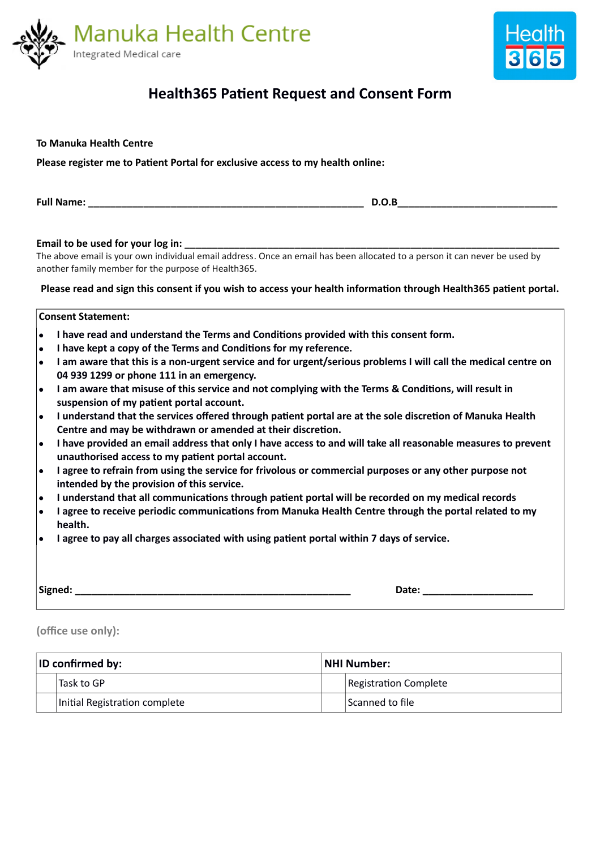

**Please register me to Patient Portal for exclusive access to my health online:**

**To Manuka Health Centre**



# **Health365 Patient Request and Consent Form**

| D.O.B                                                                                                                                                                                                                                                                                                                                                                                                                                                                                                                                                                                                                                                                                                                                                                                                                                                                                                                                                                                                                                                                                                                                                                                                                                                                                                                                                                                                                             |  |  |  |  |  |
|-----------------------------------------------------------------------------------------------------------------------------------------------------------------------------------------------------------------------------------------------------------------------------------------------------------------------------------------------------------------------------------------------------------------------------------------------------------------------------------------------------------------------------------------------------------------------------------------------------------------------------------------------------------------------------------------------------------------------------------------------------------------------------------------------------------------------------------------------------------------------------------------------------------------------------------------------------------------------------------------------------------------------------------------------------------------------------------------------------------------------------------------------------------------------------------------------------------------------------------------------------------------------------------------------------------------------------------------------------------------------------------------------------------------------------------|--|--|--|--|--|
| Email to be used for your log in:<br>The above email is your own individual email address. Once an email has been allocated to a person it can never be used by<br>another family member for the purpose of Health365.<br>Please read and sign this consent if you wish to access your health information through Health365 patient portal.                                                                                                                                                                                                                                                                                                                                                                                                                                                                                                                                                                                                                                                                                                                                                                                                                                                                                                                                                                                                                                                                                       |  |  |  |  |  |
| <b>Consent Statement:</b>                                                                                                                                                                                                                                                                                                                                                                                                                                                                                                                                                                                                                                                                                                                                                                                                                                                                                                                                                                                                                                                                                                                                                                                                                                                                                                                                                                                                         |  |  |  |  |  |
| I have read and understand the Terms and Conditions provided with this consent form.<br>$\bullet$<br>I have kept a copy of the Terms and Conditions for my reference.<br>$\bullet$<br>I am aware that this is a non-urgent service and for urgent/serious problems I will call the medical centre on<br>$\bullet$<br>04 939 1299 or phone 111 in an emergency.<br>I am aware that misuse of this service and not complying with the Terms & Conditions, will result in<br>$\bullet$<br>suspension of my patient portal account.<br>I understand that the services offered through patient portal are at the sole discretion of Manuka Health<br>$\bullet$<br>Centre and may be withdrawn or amended at their discretion.<br>I have provided an email address that only I have access to and will take all reasonable measures to prevent<br>$\bullet$<br>unauthorised access to my patient portal account.<br>I agree to refrain from using the service for frivolous or commercial purposes or any other purpose not<br>$\bullet$<br>intended by the provision of this service.<br>I understand that all communications through patient portal will be recorded on my medical records<br>$\bullet$<br>I agree to receive periodic communications from Manuka Health Centre through the portal related to my<br>$\bullet$<br>health.<br>I agree to pay all charges associated with using patient portal within 7 days of service. |  |  |  |  |  |
| Date: the contract of the contract of the contract of the contract of the contract of the contract of the contract of the contract of the contract of the contract of the contract of the contract of the contract of the cont                                                                                                                                                                                                                                                                                                                                                                                                                                                                                                                                                                                                                                                                                                                                                                                                                                                                                                                                                                                                                                                                                                                                                                                                    |  |  |  |  |  |

**(office use only):** 

| <b>ID confirmed by:</b> |                               | NHI Number: ا |                       |
|-------------------------|-------------------------------|---------------|-----------------------|
|                         | 'Task to GP                   |               | Registration Complete |
|                         | Initial Registration complete |               | Scanned to file       |